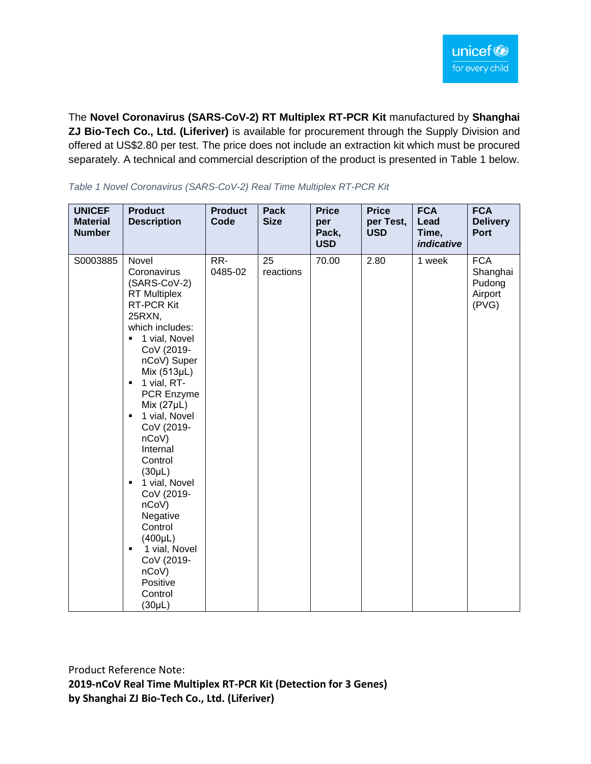The **Novel Coronavirus (SARS-CoV-2) RT Multiplex RT-PCR Kit** manufactured by **Shanghai ZJ Bio-Tech Co., Ltd. (Liferiver)** is available for procurement through the Supply Division and offered at US\$2.80 per test. The price does not include an extraction kit which must be procured separately. A technical and commercial description of the product is presented in Table 1 below.

| <b>UNICEF</b><br><b>Material</b><br><b>Number</b> | <b>Product</b><br><b>Description</b>                                                                                                                                                                                                                                                                                                                                                                                                                                                | <b>Product</b><br>Code | Pack<br><b>Size</b> | <b>Price</b><br>per<br>Pack,<br><b>USD</b> | <b>Price</b><br>per Test,<br><b>USD</b> | <b>FCA</b><br>Lead<br>Time,<br>indicative | <b>FCA</b><br><b>Delivery</b><br><b>Port</b>         |
|---------------------------------------------------|-------------------------------------------------------------------------------------------------------------------------------------------------------------------------------------------------------------------------------------------------------------------------------------------------------------------------------------------------------------------------------------------------------------------------------------------------------------------------------------|------------------------|---------------------|--------------------------------------------|-----------------------------------------|-------------------------------------------|------------------------------------------------------|
| S0003885                                          | Novel<br>Coronavirus<br>(SARS-CoV-2)<br><b>RT</b> Multiplex<br>RT-PCR Kit<br>25RXN,<br>which includes:<br>1 vial, Novel<br>٠<br>CoV (2019-<br>nCoV) Super<br>Mix (513µL)<br>1 vial, RT-<br>٠<br>PCR Enzyme<br>Mix $(27\mu L)$<br>1 vial, Novel<br>٠<br>CoV (2019-<br>nCoV)<br>Internal<br>Control<br>$(30\mu L)$<br>■ 1 vial, Novel<br>CoV (2019-<br>nCoV)<br>Negative<br>Control<br>$(400\mu L)$<br>1 vial, Novel<br>٠<br>CoV (2019-<br>nCoV<br>Positive<br>Control<br>$(30\mu L)$ | RR-<br>0485-02         | 25<br>reactions     | 70.00                                      | 2.80                                    | 1 week                                    | <b>FCA</b><br>Shanghai<br>Pudong<br>Airport<br>(PVG) |

*Table 1 Novel Coronavirus (SARS-CoV-2) Real Time Multiplex RT-PCR Kit* 

Product Reference Note:

**2019-nCoV Real Time Multiplex RT-PCR Kit (Detection for 3 Genes) by Shanghai ZJ Bio-Tech Co., Ltd. (Liferiver)**